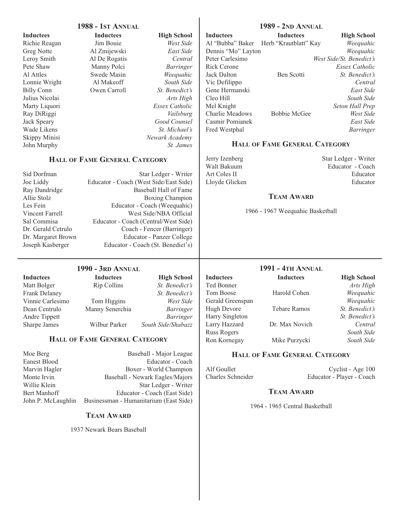|                              | <b>1988 - 1ST ANNUAL</b>               |                                   |                    | <b>1989 - 2ND ANNUAL</b>             |                           |
|------------------------------|----------------------------------------|-----------------------------------|--------------------|--------------------------------------|---------------------------|
| <b>Inductees</b>             | <b>Inductees</b>                       | <b>High School</b>                | <b>Inductees</b>   | <b>Inductees</b>                     | <b>High School</b>        |
| Richie Reagan                | Jim Bouie                              | West Side                         | Al "Bubba" Baker   | Herb "Krautblatt" Kay                | Weequahic                 |
| <b>Greg Notte</b>            | Al Zmijewski                           | East Side                         | Dennis "Mo" Layton |                                      | Weequahic                 |
| Leroy Smith                  | Al De Rogatis                          | Central                           | Peter Carlesimo    |                                      | West Side/St. Benedict's  |
| Pete Shaw                    | Manny Polci                            | Barringer                         | Rick Cerone        |                                      | <b>Essex Catholic</b>     |
| Al Attles                    | Swede Masin                            | Weequahic                         | Jack Dalton        | Ben Scotti                           | St. Benedict's            |
| Lonnie Wright                | Al Makeoff                             | South Side                        | Vic Defilippo      |                                      | Central                   |
| <b>Billy Conn</b>            | Owen Carroll                           | St. Benedict's                    | Gene Hermanski     |                                      | East Side                 |
| Julius Nicolai               |                                        | Arts High                         | Cleo Hill          |                                      | South Side                |
| Marty Liquori                |                                        | Essex Catholic                    | Mel Knight         |                                      | Seton Hall Prep           |
|                              |                                        |                                   | Charlie Meadows    |                                      |                           |
| Ray DiRiggi                  |                                        | Vailsburg<br>Good Counsel         | Casmir Pomianek    | <b>Bobbie McGee</b>                  | West Side<br>East Side    |
| Jack Speary                  |                                        |                                   |                    |                                      |                           |
| Wade Likens                  |                                        | St. Michael's                     | Fred Westphal      |                                      | Barringer                 |
| <b>Skippy Minisi</b>         |                                        | Newark Academy                    |                    | <b>HALL OF FAME GENERAL CATEGORY</b> |                           |
| John Murphy                  |                                        | St. James                         |                    |                                      |                           |
|                              | <b>HALL OF FAME GENERAL CATEGORY</b>   |                                   | Jerry Izenberg     |                                      | Star Ledger - Writer      |
|                              |                                        |                                   | Walt Bakuum        |                                      | Educator - Coach          |
| Sid Dorfman                  |                                        | Star Ledger - Writer              | Art Coles II       |                                      | Educator                  |
| Joe Liddy                    | Educator - Coach (West Side/East Side) |                                   | Lloyde Glicken     |                                      | Educator                  |
| Ray Dandridge                |                                        | <b>Baseball Hall of Fame</b>      |                    |                                      |                           |
| Allie Stolz                  |                                        | <b>Boxing Champion</b>            |                    | <b>TEAM AWARD</b>                    |                           |
| Les Fein                     |                                        | Educator - Coach (Weequahic)      |                    |                                      |                           |
| Vincent Farrell              |                                        | West Side/NBA Official            |                    | 1966 - 1967 Weequahic Basketball     |                           |
| Sal Commisa                  | Educator - Coach (Central/West Side)   |                                   |                    |                                      |                           |
| Dr. Gerald Cetrulo           |                                        | Coach - Fencer (Barringer)        |                    |                                      |                           |
| Dr. Margaret Brown           |                                        | Educator - Panzer College         |                    |                                      |                           |
| Joseph Kasberger             |                                        | Educator - Coach (St. Benedict's) |                    |                                      |                           |
|                              |                                        |                                   |                    |                                      |                           |
|                              |                                        |                                   |                    |                                      |                           |
|                              | <b>1990 - 3RD ANNUAL</b>               |                                   |                    | <b>1991 - 4TH ANNUAL</b>             |                           |
| <b>Inductees</b>             | <b>Inductees</b>                       | <b>High School</b>                | <b>Inductees</b>   | <b>Inductees</b>                     | <b>High School</b>        |
| Matt Bolger                  | Rip Collins                            | St. Benedict's                    | Ted Bonner         |                                      | Arts High                 |
| <b>Frank Delaney</b>         |                                        | St. Benedict's                    | Tom Boose          | Harold Cohen                         | Weequahic                 |
| Vinnie Carlesimo             | Tom Higgins                            | West Side                         | Gerald Greenspan   |                                      | Weequahic                 |
| Dean Centrulo                | Manny Senerchia                        | <b>Barringer</b>                  | Hugh Devore        | <b>Tebare Ramos</b>                  | <i>St.</i> Benedict's     |
| Andre Tippett                |                                        | <b>Barringer</b>                  | Harry Singleton    |                                      | St. Benedict's            |
| Sharpe James                 | Wilbur Parker                          | South Side/Shabazz                | Larry Hazzard      | Dr. Max Novich                       | Central                   |
|                              |                                        |                                   | <b>Russ Rogers</b> |                                      | South Side                |
|                              | <b>HALL OF FAME GENERAL CATEGORY</b>   |                                   | Ron Kornegay       | Mike Purzycki                        | South Side                |
| Moe Berg                     |                                        | Baseball - Major League           |                    | <b>HALL OF FAME GENERAL CATEGORY</b> |                           |
| <b>Eanest Blood</b>          |                                        | Educator - Coach                  |                    |                                      |                           |
|                              |                                        | Boxer - World Champion            | Alf Goullet        |                                      | Cyclist - Age 100         |
| Marvin Hagler<br>Monte Irvin |                                        | Baseball - Newark Eagles/Majors   | Charles Schneider  |                                      | Educator - Player - Coach |
| Willie Klein                 |                                        |                                   |                    |                                      |                           |
|                              |                                        | Star Ledger - Writer              |                    | <b>TEAM AWARD</b>                    |                           |
| <b>Bert Manhoff</b>          |                                        | Educator - Coach (East Side)      |                    |                                      |                           |
| John P. McLaughlin           | Businessman - Humanitarium (East Side) |                                   |                    | 1964 - 1965 Central Basketball       |                           |
|                              | <b>TEAM AWARD</b>                      |                                   |                    |                                      |                           |
|                              | 1937 Newark Bears Baseball             |                                   |                    |                                      |                           |
|                              |                                        |                                   |                    |                                      |                           |
|                              |                                        |                                   |                    |                                      |                           |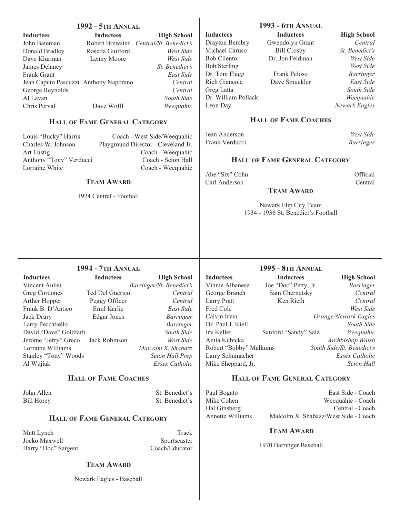| <b>1992 - 5TH ANNUAL</b>                   |                                       |                                                                    |                                                              | <b>1993 - 6TH ANNUAL</b>             |                      |
|--------------------------------------------|---------------------------------------|--------------------------------------------------------------------|--------------------------------------------------------------|--------------------------------------|----------------------|
| <b>Inductees</b>                           | <b>Inductees</b>                      | <b>High School</b>                                                 | <b>Inductees</b>                                             | <b>Inductees</b>                     | <b>High School</b>   |
| John Bateman                               | Robert Brewster                       | Central/St. Benedict's                                             | Drayton Bembry                                               | Gwendolyn Grant                      | Central              |
| Donald Bradley                             | Rosetta Guilford                      | West Side                                                          | Michael Caruso                                               | <b>Bill Crosby</b>                   | St. Benedict's       |
| Dave Klurman                               | Lenny Moore                           | West Side                                                          | <b>Bob Cilento</b>                                           | Dr. Jon Feldman                      | West Side            |
| James Delaney                              |                                       | St. Benedict's                                                     | <b>Bob Sterling</b>                                          |                                      | West Side            |
| Frank Grant                                |                                       | East Side                                                          | Dr. Tom Flagg                                                | Frank Peloso                         | <b>Barringer</b>     |
|                                            | Jean Caputo Pascuzzi Anthony Naporano | Central                                                            | Rich Giancola                                                | Dave Smuckler                        | East Side            |
| George Reynolds                            |                                       | Central                                                            | Greg Latta                                                   |                                      | South Side           |
| Al Lavan                                   |                                       | South Side                                                         | Dr. William Pollack                                          |                                      | Weequahic            |
| Chris Perval                               | Dave Wolff                            | Weequahic                                                          | Leon Day                                                     |                                      | Newark Eagles        |
|                                            | HALL OF FAME GENERAL CATEGORY         |                                                                    |                                                              | <b>HALL OF FAME COACHES</b>          |                      |
|                                            |                                       |                                                                    | Jean Anderson                                                |                                      | West Side            |
| Louis "Bucky" Harris<br>Charles W. Johnson |                                       | Coach - West Side/Weequahic<br>Playground Director - Cleveland Jr. | Frank Verducci                                               |                                      | <b>Barringer</b>     |
| Art Lustig                                 |                                       | Coach - Weequahic                                                  |                                                              |                                      |                      |
| Anthony "Tony" Verducci                    |                                       | Coach - Seton Hall                                                 |                                                              | <b>HALL OF FAME GENERAL CATEGORY</b> |                      |
| Lorraine White                             |                                       | Coach - Weequahic                                                  |                                                              |                                      |                      |
|                                            |                                       |                                                                    | Abe "Six" Cohn                                               |                                      | Official             |
|                                            | <b>TEAM AWARD</b>                     |                                                                    | Carl Anderson                                                |                                      | Central              |
|                                            | 1924 Central - Football               |                                                                    |                                                              | <b>TEAM AWARD</b>                    |                      |
|                                            |                                       |                                                                    |                                                              |                                      |                      |
|                                            |                                       |                                                                    | Newark Flip City Team<br>1934 - 1936 St. Benedict's Football |                                      |                      |
|                                            |                                       |                                                                    |                                                              |                                      |                      |
|                                            |                                       |                                                                    |                                                              |                                      |                      |
|                                            | <b>1994 - 7TH ANNUAL</b>              |                                                                    |                                                              | <b>1995 - 8TH ANNUAL</b>             |                      |
| <b>Inductees</b>                           | <b>Inductees</b>                      | <b>High School</b>                                                 | <b>Inductees</b>                                             | <b>Inductees</b>                     | <b>High School</b>   |
| Vincent Aulisi                             |                                       | Barringer/St. Benedict's                                           | Vinnie Albanese                                              | Joe "Doc" Petty, Jr.                 | <b>Barringer</b>     |
| Greg Cordones                              | Ted Del Guerico                       | Central                                                            | George Branch                                                | Sam Chernetsky                       | Central              |
| Arther Hopper                              | Peggy Officer                         | Central                                                            | <b>Larry Pratt</b>                                           | Ken Rieth                            | Central              |
| Frank B. D'Antico                          | Emil Karlic                           | East Side                                                          | Fred Cole                                                    |                                      | West Side            |
| Jack Drury                                 | <b>Edgar Jones</b>                    | <b>Barringer</b>                                                   | Calvin Irvin                                                 |                                      | Orange/Newark Eagles |
| Larry Peccatiello                          |                                       | <b>Barringer</b>                                                   | Dr. Paul J. Kiell                                            |                                      | South Side           |
| David "Dave" Goldfarb                      |                                       | South Side                                                         | Irv Keller                                                   | Sanford "Sandy" Salz                 | Weequahic            |

|                                    |                 | 111211 OVIIVVI           |
|------------------------------------|-----------------|--------------------------|
| Vincent Aulisi                     |                 | Barringer/St. Benedict's |
| Greg Cordones                      | Ted Del Guerico | Central                  |
| Arther Hopper                      | Peggy Officer   | Central                  |
| Frank B. D'Antico                  | Emil Karlic     | East Side                |
| Jack Drury                         | Edgar Jones     | <i>Barringer</i>         |
| Larry Peccatiello                  |                 | <b>Barringer</b>         |
| David "Dave" Goldfarb              |                 | South Side               |
| Jerome "Jerry" Greco Jack Robinson |                 | West Side                |
| Lorraine Williams                  |                 | Malcolm X. Shabazz       |
| Stanley "Tony" Woods               |                 | Seton Hall Prep          |
| Al Wujiak                          |                 | <b>Essex Catholic</b>    |
|                                    |                 |                          |

# **HALL OF FAME COACHES**

John Allen St. Benedict's Bill Horey St. Benedict's

# **HALL OF FAME GENERAL CATEGORY**

Matt Lynch Track Jocko Maxwell Sportscaster Harry "Doc" Sargent Coach/Educator

#### **TEAM AWARD**

Newark Eagles - Baseball

# **TEAM AWARD**

1970 Barringer Baseball

**HALL OF FAME GENERAL CATEGORY**

Anita Kubicka *Archbishop Walsh* Robert "Bobby" Malkums *South Side/St. Benedict's* Larry Schumacher *Essex Catholic* Mike Sheppard, Jr. *Seton Hall*

Paul Bogato<br>
Mike Cohen<br>
Mike Cohen<br>
Weequahic - Coach Mike Cohen Weequahic - Coach<br>Hal Ginsberg Central - Coach

Central - Coach Annette Williams Malcolm X. Shabazz/West Side - Coach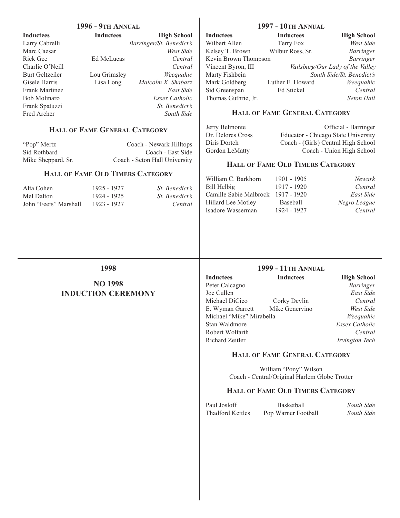| <b>1996 - 9TH ANNUAL</b> |                                      |                               |                                         | <b>1997 - 10TH ANNUAL</b>                     |                                     |
|--------------------------|--------------------------------------|-------------------------------|-----------------------------------------|-----------------------------------------------|-------------------------------------|
| <b>Inductees</b>         | <b>Inductees</b>                     | <b>High School</b>            | <b>Inductees</b>                        | <b>Inductees</b>                              | <b>High School</b>                  |
| Larry Cabrelli           |                                      | Barringer/St. Benedict's      | Wilbert Allen                           | Terry Fox                                     | West Side                           |
| Marc Caesar              |                                      | West Side                     | Kelsey T. Brown                         | Wilbur Ross, Sr.                              | <b>Barringer</b>                    |
| <b>Rick Gee</b>          | Ed McLucas                           | Central                       | Kevin Brown Thompson                    |                                               | <b>Barringer</b>                    |
| Charlie O'Neill          | Central<br>Weequahic<br>Lou Grimsley |                               | Vincent Byron, III                      |                                               | Vailsburg/Our Lady of the Valley    |
| <b>Burt Geltzeiler</b>   |                                      |                               | Marty Fishbein                          |                                               | South Side/St. Benedict's           |
| Gisele Harris            | Lisa Long                            | Malcolm X. Shabazz            | Mark Goldberg                           | Luther E. Howard                              | Weequahic                           |
| Frank Martinez           |                                      | East Side                     | Sid Greenspan                           | Ed Stickel                                    | Central                             |
| <b>Bob Molinaro</b>      |                                      | <b>Essex Catholic</b>         | Thomas Guthrie, Jr.                     |                                               | Seton Hall                          |
| Frank Spatuzzi           |                                      | St. Benedict's                |                                         |                                               |                                     |
| Fred Archer              |                                      | South Side                    |                                         | <b>HALL OF FAME GENERAL CATEGORY</b>          |                                     |
|                          | <b>HALL OF FAME GENERAL CATEGORY</b> |                               | Jerry Belmonte                          |                                               | Official - Barringer                |
|                          |                                      |                               | Dr. Delores Cross                       |                                               | Educator - Chicago State University |
| "Pop" Mertz              |                                      | Coach - Newark Hilltops       | Diris Dortch                            |                                               | Coach - (Girls) Central High School |
| Sid Rothbard             |                                      | Coach - East Side             | Gordon LeMatty                          |                                               | Coach - Union High School           |
| Mike Sheppard, Sr.       |                                      | Coach - Seton Hall University | <b>HALL OF FAME OLD TIMERS CATEGORY</b> |                                               |                                     |
|                          | HALL OF FAME OLD TIMERS CATEGORY     |                               |                                         |                                               |                                     |
|                          |                                      |                               | William C. Barkhorn                     | 1901 - 1905                                   | <b>Newark</b>                       |
| Alta Cohen               | 1925 - 1927                          | St. Benedict's                | <b>Bill Helbig</b>                      | 1917 - 1920                                   | Central                             |
| Mel Dalton               | 1924 - 1925                          | St. Benedict's                | Camille Sabie Malbrock 1917 - 1920      |                                               | East Side                           |
| John "Feets" Marshall    | 1923 - 1927                          | Central                       | Hillard Lee Motley                      | Baseball                                      | Negro League                        |
|                          |                                      |                               | Isadore Wasserman                       | 1924 - 1927                                   | Central                             |
|                          |                                      |                               |                                         |                                               |                                     |
|                          | 1998                                 |                               |                                         | <b>1999 - 11TH ANNUAL</b>                     |                                     |
|                          |                                      |                               | <b>Inductees</b>                        | <b>Inductees</b>                              | <b>High School</b>                  |
|                          | <b>NO 1998</b>                       |                               | Peter Calcagno                          |                                               | <b>Barringer</b>                    |
|                          | <b>INDUCTION CEREMONY</b>            |                               | Joe Cullen                              |                                               | East Side                           |
|                          |                                      |                               | Michael DiCico                          | Corky Devlin                                  | Central                             |
|                          |                                      |                               | E. Wyman Garrett                        | Mike Genervino                                | West Side                           |
|                          |                                      |                               | Michael "Mike" Mirabella                |                                               | Weequahic                           |
|                          |                                      |                               | Stan Waldmore                           |                                               | Essex Catholic                      |
|                          |                                      |                               | Robert Wolfarth                         |                                               | Central                             |
|                          |                                      |                               | Richard Zeitler                         |                                               | Irvington Tech                      |
|                          |                                      |                               |                                         | <b>HALL OF FAME GENERAL CATEGORY</b>          |                                     |
|                          |                                      |                               |                                         | William "Pony" Wilson                         |                                     |
|                          |                                      |                               |                                         | Coach - Central/Original Harlem Globe Trotter |                                     |

# **HALL OF FAME OLD TIMERS CATEGORY**

| Paul Josloff            | <b>Basketball</b>   | South Side |
|-------------------------|---------------------|------------|
| <b>Thadford Kettles</b> | Pop Warner Football | South Side |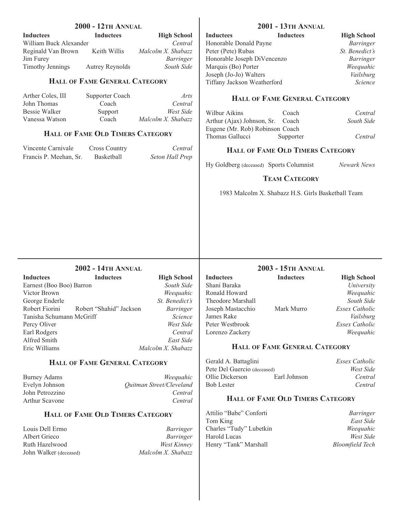| <b>2000 - 12TH ANNUAL</b>                    |                                         |                                       | <b>2001 - 13TH ANNUAL</b>                   |                                                     |  |
|----------------------------------------------|-----------------------------------------|---------------------------------------|---------------------------------------------|-----------------------------------------------------|--|
| Inductees<br>William Buck Alexander          | <b>Inductees</b>                        | <b>High School</b><br>Central         | Inductees<br>Honorable Donald Payne         | <b>Inductees</b><br><b>High School</b><br>Barringer |  |
| Reginald Van Brown                           | Keith Willis                            | Malcolm X. Shabazz                    | Peter (Pete) Rubas                          | St. Benedict's                                      |  |
| Jim Furey                                    |                                         | Barringer                             | Honorable Joseph DiVencenzo                 | Barringer                                           |  |
| <b>Timothy Jennings</b>                      | <b>Autrey Reynolds</b>                  | South Side                            | Marquis (Bo) Porter                         | Weequahic                                           |  |
|                                              |                                         |                                       | Joseph (Jo-Jo) Walters                      | Vailsburg                                           |  |
|                                              | <b>HALL OF FAME GENERAL CATEGORY</b>    |                                       | Tiffany Jackson Weatherford                 | Science                                             |  |
| Arther Coles, III<br>John Thomas             | Supporter Coach<br>Coach                | Arts<br>Central                       |                                             | <b>HALL OF FAME GENERAL CATEGORY</b>                |  |
| <b>Bessie Walker</b>                         | Support                                 | West Side                             |                                             |                                                     |  |
| Vanessa Watson                               | Coach                                   | Malcolm X. Shabazz                    | Wilbur Aikins<br>Arthur (Ajax) Johnson, Sr. | Coach<br>Central<br>Coach<br>South Side             |  |
|                                              |                                         |                                       | Eugene (Mr. Rob) Robinson Coach             |                                                     |  |
|                                              | HALL OF FAME OLD TIMERS CATEGORY        |                                       | Thomas Gallucci                             | Supporter<br>Central                                |  |
| Vincente Carnivale<br>Francis P. Meehan, Sr. | <b>Cross Country</b><br>Basketball      | Central<br>Seton Hall Prep            |                                             | <b>HALL OF FAME OLD TIMERS CATEGORY</b>             |  |
|                                              |                                         |                                       | Hy Goldberg (deceased) Sports Columnist     | Newark News                                         |  |
|                                              |                                         |                                       |                                             | <b>TEAM CATEGORY</b>                                |  |
|                                              |                                         |                                       |                                             | 1983 Malcolm X. Shabazz H.S. Girls Basketball Team  |  |
|                                              |                                         |                                       |                                             |                                                     |  |
|                                              | <b>2002 - 14TH ANNUAL</b>               |                                       |                                             | <b>2003 - 15TH ANNUAL</b>                           |  |
| Inductees                                    | <b>Inductees</b>                        | <b>High School</b>                    | <b>Inductees</b>                            | <b>Inductees</b><br><b>High School</b>              |  |
| Earnest (Boo Boo) Barron<br>Victor Brown     |                                         | South Side                            | Shani Baraka<br>Ronald Howard               | University                                          |  |
| George Enderle                               |                                         | Weequahic<br>St. Benedict's           | Theodore Marshall                           | Weequahic<br>South Side                             |  |
| Robert Fiorini                               | Robert "Shahid" Jackson                 | Barringer                             | Joseph Mastacchio                           | Essex Catholic<br>Mark Murro                        |  |
| Tanisha Schumann McGriff                     |                                         | Science                               | James Rake                                  | Vailsburg                                           |  |
| Percy Oliver                                 |                                         | West Side                             | Peter Westbrook                             | <b>Essex Catholic</b>                               |  |
| Earl Rodgers                                 |                                         | Central                               | Lorenzo Zackery                             | Weequahic                                           |  |
| Alfred Smith                                 |                                         | East Side                             |                                             |                                                     |  |
| Eric Williams                                |                                         | Malcolm X. Shabazz                    |                                             | <b>HALL OF FAME GENERAL CATEGORY</b>                |  |
|                                              | HALL OF FAME GENERAL CATEGORY           |                                       | Gerald A. Battaglini                        | <b>Essex Catholic</b>                               |  |
|                                              |                                         |                                       | Pete Del Guercio (deceased)                 | West Side                                           |  |
| <b>Burney Adams</b>                          |                                         | Weequahic<br>Quitman Street/Cleveland | Ollie Dickerson<br><b>Bob Lester</b>        | Earl Johnson<br>Central<br>Central                  |  |
| Evelyn Johnson<br>John Petrozzino            |                                         | Central                               |                                             |                                                     |  |
| Arthur Scavone                               |                                         | Central                               |                                             | <b>HALL OF FAME OLD TIMERS CATEGORY</b>             |  |
|                                              | <b>HALL OF FAME OLD TIMERS CATEGORY</b> |                                       | Attilio "Babe" Conforti                     | <b>Barringer</b>                                    |  |
| Louis Dell Ermo                              |                                         | Barringer                             | Tom King<br>Charles "Tudy" Lubetkin         | East Side<br>Weequahic                              |  |
| Albert Grieco                                |                                         | <b>Barringer</b>                      | Harold Lucas                                | West Side                                           |  |
| Ruth Hazelwood                               |                                         | <b>West Kinney</b>                    | Henry "Tank" Marshall                       | <b>Bloomfield Tech</b>                              |  |
| John Walker (deceased)                       |                                         | Malcolm X. Shabazz                    |                                             |                                                     |  |
|                                              |                                         |                                       |                                             |                                                     |  |
|                                              |                                         |                                       |                                             |                                                     |  |
|                                              |                                         |                                       |                                             |                                                     |  |
|                                              |                                         |                                       |                                             |                                                     |  |

 $\overline{\phantom{a}}$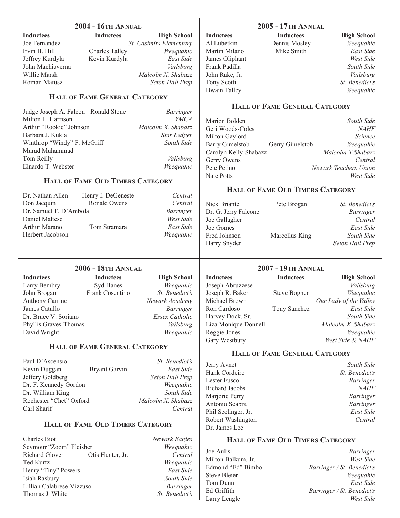|                                                               | <b>2004 - 16TH ANNUAL</b>               |                         |                             | <b>2005 - 17TH ANNUAL</b>               |                                         |
|---------------------------------------------------------------|-----------------------------------------|-------------------------|-----------------------------|-----------------------------------------|-----------------------------------------|
| <b>Inductees</b>                                              | <b>Inductees</b>                        | <b>High School</b>      | <b>Inductees</b>            | <b>Inductees</b>                        | <b>High School</b>                      |
| Joe Fernandez                                                 |                                         | St. Casimirs Elementary | Al Lubetkin                 | Dennis Mosley                           | Weequahic                               |
| Irvin B. Hill                                                 | <b>Charles Talley</b>                   | Weequahic               | Martin Milano               | Mike Smith                              | East Side                               |
| Jeffrey Kurdyla                                               | Kevin Kurdyla                           | East Side               | James Oliphant              |                                         | West Side                               |
| John Machiaverna                                              |                                         | Vailsburg               | Frank Padilla               |                                         | South Side                              |
| Willie Marsh                                                  |                                         | Malcolm X. Shabazz      | John Rake, Jr.              |                                         | Vailsburg                               |
| Roman Matusz                                                  |                                         | Seton Hall Prep         | Tony Scotti                 |                                         | St. Benedict's                          |
|                                                               |                                         |                         | Dwain Talley                |                                         | Weequahic                               |
|                                                               | <b>HALL OF FAME GENERAL CATEGORY</b>    |                         |                             | <b>HALL OF FAME GENERAL CATEGORY</b>    |                                         |
| Judge Joseph A. Falcon Ronald Stone                           |                                         | <b>Barringer</b>        |                             |                                         |                                         |
| Milton L. Harrison                                            |                                         | <b>YMCA</b>             | Marion Bolden               |                                         | South Side                              |
| Arthur "Rookie" Johnson                                       |                                         | Malcolm X. Shabazz      | Geri Woods-Coles            |                                         | <b>NAHF</b>                             |
| Barbara J. Kukla                                              |                                         | Star Ledger             | Milton Gaylord              |                                         | Science                                 |
| Winthrop "Windy" F. McGriff                                   |                                         | South Side              | <b>Barry Gimelstob</b>      | Gerry Gimelstob                         | Weequahic                               |
| Murad Muhammad                                                |                                         |                         | Carolyn Kelly-Shabazz       |                                         | Malcolm X Shabazz                       |
| Tom Reilly                                                    |                                         | Vailsburg               | Gerry Owens                 |                                         | Central                                 |
| Elnardo T. Webster                                            |                                         | Weequahic               | Pete Petino                 |                                         | Newark Teachers Union                   |
|                                                               |                                         |                         | Nate Potts                  |                                         | West Side                               |
|                                                               | <b>HALL OF FAME OLD TIMERS CATEGORY</b> |                         |                             | <b>HALL OF FAME OLD TIMERS CATEGORY</b> |                                         |
| Dr. Nathan Allen                                              | Henry I. DeGeneste                      | Central                 |                             |                                         |                                         |
| Don Jacquin                                                   | Ronald Owens                            | Central                 | Nick Briante                | Pete Brogan                             | St. Benedict's                          |
| Dr. Samuel F. D'Ambola                                        |                                         | Barringer               | Dr. G. Jerry Falcone        |                                         | <b>Barringer</b>                        |
| Daniel Maltese                                                |                                         | West Side               | Joe Gallagher               |                                         | Central                                 |
| Arthur Marano                                                 | Tom Stramara                            | East Side               | Joe Gomes                   |                                         | East Side                               |
| Herbert Jacobson                                              |                                         | Weequahic               | Fred Johnson                | Marcellus King                          | South Side                              |
|                                                               |                                         |                         | Harry Snyder                |                                         | Seton Hall Prep                         |
|                                                               | <b>2006 - 18TH ANNUAL</b>               |                         |                             | <b>2007 - 19TH ANNUAL</b>               |                                         |
|                                                               | <b>Inductees</b>                        |                         | <b>Inductees</b>            | <b>Inductees</b>                        | <b>High School</b>                      |
|                                                               |                                         |                         |                             |                                         |                                         |
| <b>Inductees</b>                                              |                                         | <b>High School</b>      |                             |                                         |                                         |
| Larry Bembry                                                  | Syd Hanes                               | Weequahic               | Joseph Abruzzese            |                                         | Vailsburg                               |
| John Brogan                                                   | Frank Cosentino                         | St. Benedict's          | Joseph R. Baker             | <b>Steve Bogner</b>                     | Weequahic                               |
| Anthony Carrino                                               |                                         | Newark Academy          | Michael Brown               |                                         | Our Lady of the Valley                  |
| James Catullo                                                 |                                         | <b>Barringer</b>        | Ron Cardoso                 | Tony Sanchez                            | East Side                               |
| Dr. Bruce V. Soriano                                          |                                         | <b>Essex Catholic</b>   | Harvey Dock, Sr.            |                                         | South Side                              |
|                                                               |                                         | Vailsburg               | Liza Monique Donnell        |                                         | Malcolm X. Shabazz                      |
| Phyllis Graves-Thomas<br>David Wright                         |                                         | Weequahic               | Reggie Jones                |                                         | Weequahic                               |
|                                                               | <b>HALL OF FAME GENERAL CATEGORY</b>    |                         | Gary Westbury               |                                         | West Side & NAHF                        |
|                                                               |                                         |                         |                             | <b>HALL OF FAME GENERAL CATEGORY</b>    |                                         |
| Paul D'Ascensio                                               |                                         | St. Benedict's          | Jerry Avnet                 |                                         | South Side                              |
| Kevin Duggan                                                  | <b>Bryant Garvin</b>                    | East Side               | Hank Cordeiro               |                                         | St. Benedict's                          |
|                                                               |                                         | Seton Hall Prep         | Lester Fusco                |                                         | <b>Barringer</b>                        |
|                                                               |                                         | Weequahic               | Richard Jacobs              |                                         | <b>NAHF</b>                             |
| Jeffery Goldberg<br>Dr. F. Kennedy Gordon<br>Dr. William King |                                         | South Side              | Marjorie Perry              |                                         | Barringer                               |
|                                                               |                                         | Malcolm X. Shabazz      | Antonio Seabra              |                                         | Barringer                               |
| Rochester "Chet" Oxford<br>Carl Sharif                        |                                         | Central                 | Phil Seelinger, Jr.         |                                         | East Side                               |
|                                                               |                                         |                         | Robert Washington           |                                         | Central                                 |
|                                                               | <b>HALL OF FAME OLD TIMERS CATEGORY</b> |                         | Dr. James Lee               |                                         |                                         |
| <b>Charles Biot</b>                                           |                                         | Newark Eagles           |                             | <b>HALL OF FAME OLD TIMERS CATEGORY</b> |                                         |
| Seymour "Zoom" Fleisher                                       |                                         | Weequahic               |                             |                                         |                                         |
|                                                               | Otis Hunter, Jr.                        | Central                 | Joe Aulisi                  |                                         | <b>Barringer</b>                        |
| Richard Glover<br>Ted Kurtz                                   |                                         | Weequahic               | Milton Balkum, Jr.          |                                         | West Side                               |
| Henry "Tiny" Powers                                           |                                         | East Side               | Edmond "Ed" Bimbo           |                                         | Barringer / St. Benedict's              |
| Isiah Rasbury                                                 |                                         | South Side              | <b>Steve Bleier</b>         |                                         | Weequahic                               |
| Lillian Calabrese-Vizzuso                                     |                                         | Barringer               | Tom Dunn                    |                                         | East Side                               |
| Thomas J. White                                               |                                         | St. Benedict's          | Ed Griffith<br>Larry Lengle |                                         | Barringer / St. Benedict's<br>West Side |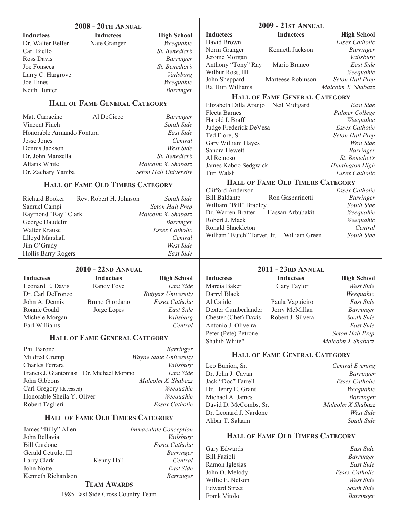|                                                       | <b>2008 - 20TH ANNUAL</b>            |                                                        |                        | <b>2009 - 21ST ANNUAL</b>            |           |
|-------------------------------------------------------|--------------------------------------|--------------------------------------------------------|------------------------|--------------------------------------|-----------|
| <b>Inductees</b>                                      | <b>Inductees</b>                     | <b>High School</b>                                     | <b>Inductees</b>       | <b>Inductees</b>                     | Hig       |
| Dr. Walter Belfer                                     | Nate Granger                         | Weequahic                                              | David Brown            |                                      | Essex     |
| Carl Biello                                           |                                      | St. Benedict's                                         | Norm Granger           | Kenneth Jackson                      |           |
| Ross Davis                                            |                                      | Barringer                                              | Jerome Morgan          |                                      |           |
| Joe Fonseca                                           |                                      | St. Benedict's                                         | Anthony "Tony" Ray     | Mario Branco                         |           |
| Larry C. Hargrove                                     |                                      | Vailsburg                                              | Wilbur Ross, III       |                                      | И         |
| Joe Hines                                             |                                      | Weequahic                                              | John Sheppard          | Marteese Robinson                    | Seton.    |
| Keith Hunter                                          |                                      | <b>Barringer</b>                                       | Ra'Him Williams        |                                      | Malcolm X |
|                                                       |                                      |                                                        |                        | <b>HALL OF FAME GENERAL CATEGORY</b> |           |
|                                                       | <b>HALL OF FAME GENERAL CATEGORY</b> |                                                        | Elizabeth Dilla Aranjo | Neil Midtgard                        |           |
|                                                       |                                      |                                                        | <b>Fleeta Barnes</b>   |                                      | Palme     |
| Matt Carracino                                        | Al DeCicco                           | <b>Barringer</b>                                       | Harold I. Braff        |                                      | И         |
| Vincent Finch                                         |                                      | South Side                                             | Judge Frederick DeVesa |                                      | Essex     |
| $H_{\text{eff}}$ and $1.1$ A mean da $F_{\text{eff}}$ |                                      | $\Gamma$ $\rightarrow$ $\Gamma$ $\rightarrow$ $\Gamma$ |                        |                                      |           |

 $\mathbf{I}$ 

| Honorable Armando Fontura | East Side                    |
|---------------------------|------------------------------|
| Jesse Jones               | Central                      |
| Dennis Jackson            | West Side                    |
| Dr. John Manzella         | <i>St. Benedict's</i>        |
| Altarik White             | Malcolm X. Shabazz           |
| Dr. Zachary Yamba         | <b>Seton Hall University</b> |

# **HALL OF FAME OLD TIMERS CATEGORY**

| Richard Booker Rev. Robert H. Johnson | South Side            |
|---------------------------------------|-----------------------|
| Samuel Campi                          | Seton Hall Prep       |
| Raymond "Ray" Clark                   | Malcolm X. Shabazz    |
| George Daudelin                       | Barringer             |
| Walter Krause                         | <b>Essex Catholic</b> |
| Llloyd Marshall                       | Central               |
| Jim O'Grady                           | West Side             |
| Hollis Barry Rogers                   | East Side             |

# **2010 - 22ND ANNUAL**

| <b>Inductees</b>  | <b>Inductees</b> | <b>High School</b>        |
|-------------------|------------------|---------------------------|
| Leonard E. Davis  | Randy Foye       | East Side                 |
| Dr. Carl DeFronzo |                  | <b>Rutgers University</b> |
| John A. Dennis    | Bruno Giordano   | <b>Essex Catholic</b>     |
| Ronnie Gould      | Jorge Lopes      | East Side                 |
| Michele Morgan    |                  | Vailsburg                 |
| Earl Williams     |                  | Central                   |

# **HALL OF FAME GENERAL CATEGORY**

| Phil Barone                              | Barringer                     |
|------------------------------------------|-------------------------------|
| Mildred Crump                            | <i>Wayne State University</i> |
| Charles Ferrara                          | Vailsburg                     |
| Francis J. Giantomasi Dr. Michael Morano | East Side                     |
| John Gibbons                             | Malcolm X. Shabazz            |
| Carl Gregory (deceased)                  | Weequahic                     |
| Honorable Sheila Y. Oliver               | Weequahic                     |
| Robert Taglieri                          | <b>Essex Catholic</b>         |

# **HALL OF FAME OLD TIMERS CATEGORY**

| James "Billy" Allen |            | <i><b>Immaculate Conception</b></i> |
|---------------------|------------|-------------------------------------|
| John Bellavia       |            | Vailsburg                           |
| <b>Bill Cardone</b> |            | Essex Catholic                      |
| Gerald Cetrulo, III |            | Barringer                           |
| Larry Clark         | Kenny Hall | Central                             |
| John Notte          |            | East Side                           |
| Kenneth Richardson  |            | Barringer                           |

### **TEAM AWARDS**

1985 East Side Cross Country Team

| <b>Inductees</b>   | <b>Inductees</b>  | <b>High School</b> |
|--------------------|-------------------|--------------------|
| David Brown        |                   | Essex Catholic     |
| Norm Granger       | Kenneth Jackson   | Barringer          |
| Jerome Morgan      |                   | Vailsburg          |
| Anthony "Tony" Ray | Mario Branco      | East Side          |
| Wilbur Ross, III   |                   | Weequahic          |
| John Sheppard      | Marteese Robinson | Seton Hall Prep    |
| Ra'Him Williams    |                   | Malcolm X. Shabazz |
|                    |                   |                    |

| Neil Midtgard<br>Elizabeth Dilla Aranjo | East Side             |
|-----------------------------------------|-----------------------|
| <b>Fleeta Barnes</b>                    | Palmer College        |
| Harold I. Braff                         | Weequahic             |
| Judge Frederick DeVesa                  | <b>Essex Catholic</b> |
| Ted Fiore, Sr.                          | Seton Hall Prep       |
| Gary William Hayes                      | West Side             |
| Sandra Hewett                           | <i>Barringer</i>      |
| Al Reinoso                              | St. Benedict's        |
| James Kaboo Sedgwick                    | Huntington High       |
| Tim Walsh                               | <b>Essex Catholic</b> |
|                                         |                       |

# **HALL OF FAME OLD TIMERS CATEGORY**

| Clifford Anderson                   |                  | <b>Essex Catholic</b> |
|-------------------------------------|------------------|-----------------------|
| <b>Bill Baldante</b>                | Ron Gasparinetti | <b>Barringer</b>      |
| William "Bill" Bradley              |                  | South Side            |
| Dr. Warren Bratter Hassan Arbubakit |                  | Weequahic             |
| Robert J. Mack                      |                  | Weequahic             |
| Ronald Shackleton                   |                  | Central               |
| William "Butch" Tarver, Jr.         | William Green    | South Side            |
|                                     |                  |                       |

# **2011 - 23RD ANNUAL**

**Inductees** Inductees High School Marcia Baker Gary Taylor *West Side* Darryl Black *Weequahic* Al Cajide Paula Vaguieiro *East Side* Dexter Cumberlander Jerry McMillan *Barringer*  Chester (Chet) Davis Robert J. Silvera *South Side* Antonio J. Oliveira *East Side* Peter (Pete) Petrone *Seton Hall Prep* Shahib White\* *Malcolm X Shabazz*

# **HALL OF FAME GENERAL CATEGORY**

| Central Evening       |
|-----------------------|
| Barringer             |
| <b>Essex Catholic</b> |
| Weequahic             |
| Barringer             |
| Malcolm X Shabazz     |
| West Side             |
| South Side            |
|                       |

### **HALL OF FAME OLD TIMERS CATEGORY**

Bill Fazioli *Barringer* Ramon Iglesias *East Side*  John O. Melody Willie E. Nelson *West Side* Edward Street *South Side* Frank Vitolo *Barringer*

Gary Edwards *East Side*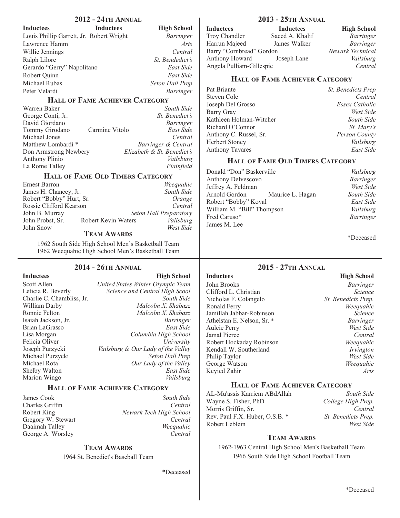| <b>Inductees</b>                         | <b>Inductees</b> | <b>High School</b> |
|------------------------------------------|------------------|--------------------|
| Louis Phillip Garrett, Jr. Robert Wright |                  | <b>Barringer</b>   |
| Lawrence Hamm                            |                  | Arts               |
| Willie Jennings                          |                  | Central            |
| Ralph Lilore                             |                  | St. Bendedict's    |
| Gerardo "Gerry" Napolitano               |                  | East Side          |
| Robert Quinn                             |                  | East Side          |
| Michael Rubas                            |                  | Seton Hall Prep    |
| Peter Velardi                            |                  | <b>Barringer</b>   |
|                                          |                  |                    |

#### **HALL OF FAME ACHIEVER CATEGORY**

| Warren Baker          |                | South Side                 |
|-----------------------|----------------|----------------------------|
| George Conti, Jr.     |                | St. Benedict's             |
| David Giordano        |                | Barringer                  |
| Tommy Girodano        | Carmine Vitolo | East Side                  |
| Michael Jones         |                | Central                    |
| Matthew Lombardi *    |                | Barringer & Central        |
| Don Armstrong Newbery |                | Elizabeth & St. Benedict's |
| Anthony Plinio        |                | Vailsburg                  |
| La Rome Talley        |                | Plainfield                 |

#### **HALL OF FAME OLD TIMERS CATEGORY**

| <b>Ernest Barron</b>     |                     | Weequahic              |
|--------------------------|---------------------|------------------------|
| James H. Chancey, Jr.    |                     | South Side             |
| Robert "Bobby" Hurt, Sr. |                     | Orange                 |
| Rossie Clifford Kearson  |                     | Central                |
| John B. Murray           |                     | Seton Hall Preparatory |
| John Probst, Sr.         | Robert Kevin Waters | Vailsburg              |
| John Snow                |                     | West Side              |

#### **TEAM AWARDS**

1962 South Side High School Men's Basketball Team 1962 Weequahic High School Men's Basketball Team

#### **2014 - 26TH ANNUAL**

| <b>Inductees</b>          | <b>High School</b>                 |
|---------------------------|------------------------------------|
| Scott Allen               | United States Winter Olympic Team  |
| Leticia R. Beverly        | Science and Central High Scool     |
| Charlie C. Chambliss, Jr. | South Side                         |
| William Darby             | Malcolm X. Shabazz                 |
| Ronnie Felton             | Malcolm X. Shabazz                 |
| Isaiah Jackson, Jr.       | Barringer                          |
| Brian LaGrasso            | East Side                          |
| Lisa Morgan               | Columbia High School               |
| Felicia Oliver            | University                         |
| Joseph Purzycki           | Vailsburg & Our Lady of the Valley |
| Michael Purzycki          | Seton Hall Prep                    |
| Michael Rota              | Our Lady of the Valley             |
| Shelby Walton             | East Side                          |
| Marion Wingo              | Vailsburg                          |

#### **HALL OF FAME ACHIEVER CATEGORY**

James Cook *South Side* **Charles Griffin** George A. Worsley

Robert King *Newark Tech High School* Gregory W. Stewart **Central** Daaimah Talley *Weequahic*

#### **TEAM AWARDS**

1964 St. Benedict's Baseball Team

\*Deceased

# **2013 - 25TH ANNUAL**

| <b>High School</b> |
|--------------------|
| Barringer          |
| Barringer          |
| Newark Technical   |
| Vailsburg          |
| Central            |
|                    |

# **HALL OF FAME ACHIEVER CATEGORY**

| Pat Briante             | St. Benedicts Prep |
|-------------------------|--------------------|
| Steven Cole             | Central            |
| Joseph Del Grosso       | Essex Catholic     |
| Barry Gray              | West Side          |
| Kathleen Holman-Witcher | South Side         |
| Richard O'Connor        | <i>St. Mary's</i>  |
| Anthony C. Russel, Sr.  | Person County      |
| <b>Herbert Stoney</b>   | Vailsburg          |
| <b>Anthony Tavares</b>  | East Side          |

## **HALL OF FAME OLD TIMERS CATEGORY**

Donald "Don" Baskerville *Vailsburg* Anthony Delvescovo *Barringer* Jeffrey A. Feldman *West Side* **Maurice L. Hagan** Robert "Bobby" Koval *East Side* William M. "Bill" Thompson Fred Caruso\* *Barringer* James M. Lee

\*Deceased

#### **2015 - 27TH ANNUAL**

**Inductees** High School John Brooks *Barringer* Clifford L. Christian *Science*<br>Nicholas F. Colangelo *St. Benedicts Prep.* Nicholas F. Colangelo *St. Benedicts Prep.* Ronald Ferry *Weequahic* Jamillah Jabbar-Robinson *Science* Athelstan E. Nelson, Sr. \* *Barringer* Aulcie Perry *West Side* Jamal Pierce *Central* Robert Hockaday Robinson *Weequahic* Kendall W. Southerland *Irvington* Philip Taylor *West Side*  George Watson Kcyied Zahir *Arts*

#### **HALL OF FAME ACHIEVER CATEGORY**

| AL-Mu'assis Karriem ABdAllah   | South Side          |
|--------------------------------|---------------------|
| Wayne S. Fisher, PhD           | College High Prep.  |
| Morris Griffin, Sr.            | Central             |
| Rev. Paul F.X. Huber, O.S.B. * | St. Benedicts Prep. |
| Robert Leblein                 | West Side           |

# **TEAM AWARDS**

1962-1963 Central High School Men's Basketball Team 1966 South Side High School Football Team